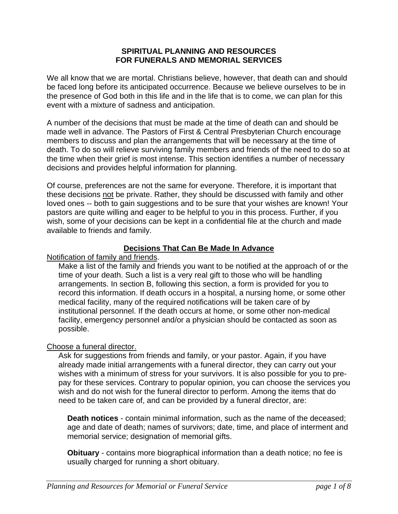#### **SPIRITUAL PLANNING AND RESOURCES FOR FUNERALS AND MEMORIAL SERVICES**

We all know that we are mortal. Christians believe, however, that death can and should be faced long before its anticipated occurrence. Because we believe ourselves to be in the presence of God both in this life and in the life that is to come, we can plan for this event with a mixture of sadness and anticipation.

A number of the decisions that must be made at the time of death can and should be made well in advance. The Pastors of First & Central Presbyterian Church encourage members to discuss and plan the arrangements that will be necessary at the time of death. To do so will relieve surviving family members and friends of the need to do so at the time when their grief is most intense. This section identifies a number of necessary decisions and provides helpful information for planning.

Of course, preferences are not the same for everyone. Therefore, it is important that these decisions not be private. Rather, they should be discussed with family and other loved ones -- both to gain suggestions and to be sure that your wishes are known! Your pastors are quite willing and eager to be helpful to you in this process. Further, if you wish, some of your decisions can be kept in a confidential file at the church and made available to friends and family.

## **Decisions That Can Be Made In Advance**

Notification of family and friends.

Make a list of the family and friends you want to be notified at the approach of or the time of your death. Such a list is a very real gift to those who will be handling arrangements. In section B, following this section, a form is provided for you to record this information. If death occurs in a hospital, a nursing home, or some other medical facility, many of the required notifications will be taken care of by institutional personnel. If the death occurs at home, or some other non-medical facility, emergency personnel and/or a physician should be contacted as soon as possible.

#### Choose a funeral director.

Ask for suggestions from friends and family, or your pastor. Again, if you have already made initial arrangements with a funeral director, they can carry out your wishes with a minimum of stress for your survivors. It is also possible for you to prepay for these services. Contrary to popular opinion, you can choose the services you wish and do not wish for the funeral director to perform. Among the items that do need to be taken care of, and can be provided by a funeral director, are:

**Death notices** - contain minimal information, such as the name of the deceased; age and date of death; names of survivors; date, time, and place of interment and memorial service; designation of memorial gifts.

**Obituary** - contains more biographical information than a death notice; no fee is usually charged for running a short obituary.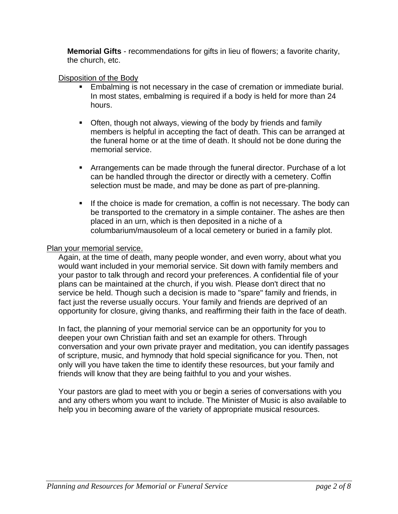**Memorial Gifts** - recommendations for gifts in lieu of flowers; a favorite charity, the church, etc.

## Disposition of the Body

- Embalming is not necessary in the case of cremation or immediate burial. In most states, embalming is required if a body is held for more than 24 hours.
- **Often, though not always, viewing of the body by friends and family** members is helpful in accepting the fact of death. This can be arranged at the funeral home or at the time of death. It should not be done during the memorial service.
- Arrangements can be made through the funeral director. Purchase of a lot can be handled through the director or directly with a cemetery. Coffin selection must be made, and may be done as part of pre-planning.
- If the choice is made for cremation, a coffin is not necessary. The body can be transported to the crematory in a simple container. The ashes are then placed in an urn, which is then deposited in a niche of a columbarium/mausoleum of a local cemetery or buried in a family plot.

## Plan your memorial service.

Again, at the time of death, many people wonder, and even worry, about what you would want included in your memorial service. Sit down with family members and your pastor to talk through and record your preferences. A confidential file of your plans can be maintained at the church, if you wish. Please don't direct that no service be held. Though such a decision is made to "spare" family and friends, in fact just the reverse usually occurs. Your family and friends are deprived of an opportunity for closure, giving thanks, and reaffirming their faith in the face of death.

In fact, the planning of your memorial service can be an opportunity for you to deepen your own Christian faith and set an example for others. Through conversation and your own private prayer and meditation, you can identify passages of scripture, music, and hymnody that hold special significance for you. Then, not only will you have taken the time to identify these resources, but your family and friends will know that they are being faithful to you and your wishes.

Your pastors are glad to meet with you or begin a series of conversations with you and any others whom you want to include. The Minister of Music is also available to help you in becoming aware of the variety of appropriate musical resources.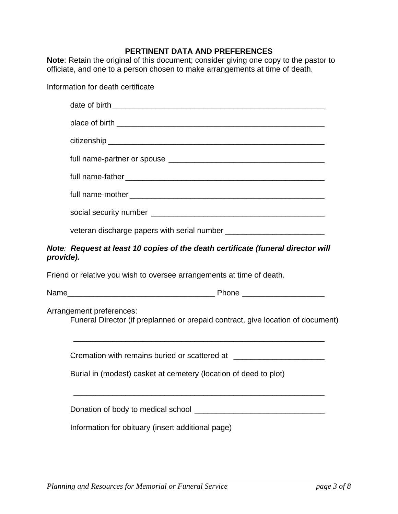# **PERTINENT DATA AND PREFERENCES**

**Note**: Retain the original of this document; consider giving one copy to the pastor to officiate, and one to a person chosen to make arrangements at time of death.

| Information for death certificate                                                                                                                                                 |
|-----------------------------------------------------------------------------------------------------------------------------------------------------------------------------------|
|                                                                                                                                                                                   |
|                                                                                                                                                                                   |
|                                                                                                                                                                                   |
|                                                                                                                                                                                   |
|                                                                                                                                                                                   |
|                                                                                                                                                                                   |
|                                                                                                                                                                                   |
|                                                                                                                                                                                   |
| Note: Request at least 10 copies of the death certificate (funeral director will<br>provide).                                                                                     |
| Friend or relative you wish to oversee arrangements at time of death.                                                                                                             |
|                                                                                                                                                                                   |
| Arrangement preferences:<br>Funeral Director (if preplanned or prepaid contract, give location of document)<br><u> 1989 - Jan Samuel Barbara, margaret eta idazlea (h. 1989).</u> |
| Cremation with remains buried or scattered at __________________________________                                                                                                  |
| Burial in (modest) casket at cemetery (location of deed to plot)                                                                                                                  |
|                                                                                                                                                                                   |
| Information for obituary (insert additional page)                                                                                                                                 |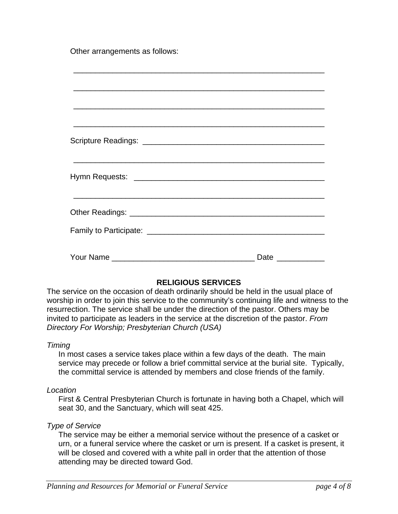Other arrangements as follows:

| <u> 1980 - Andrea Santa Andrea Andrea Andrea Andrea Andrea Andrea Andrea Andrea Andrea Andrea Andrea Andrea Andr</u> |
|----------------------------------------------------------------------------------------------------------------------|
|                                                                                                                      |
|                                                                                                                      |
| Date ____________                                                                                                    |

## **RELIGIOUS SERVICES**

The service on the occasion of death ordinarily should be held in the usual place of worship in order to join this service to the community's continuing life and witness to the resurrection. The service shall be under the direction of the pastor. Others may be invited to participate as leaders in the service at the discretion of the pastor. *From Directory For Worship; Presbyterian Church (USA)*

#### *Timing*

In most cases a service takes place within a few days of the death. The main service may precede or follow a brief committal service at the burial site. Typically, the committal service is attended by members and close friends of the family.

#### *Location*

First & Central Presbyterian Church is fortunate in having both a Chapel, which will seat 30, and the Sanctuary, which will seat 425.

#### *Type of Service*

The service may be either a memorial service without the presence of a casket or urn, or a funeral service where the casket or urn is present. If a casket is present, it will be closed and covered with a white pall in order that the attention of those attending may be directed toward God.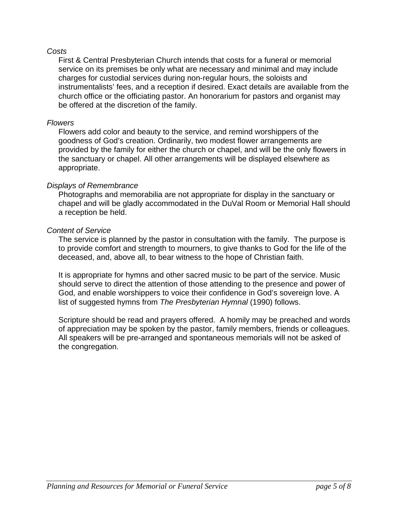#### *Costs*

First & Central Presbyterian Church intends that costs for a funeral or memorial service on its premises be only what are necessary and minimal and may include charges for custodial services during non-regular hours, the soloists and instrumentalists' fees, and a reception if desired. Exact details are available from the church office or the officiating pastor. An honorarium for pastors and organist may be offered at the discretion of the family.

#### *Flowers*

Flowers add color and beauty to the service, and remind worshippers of the goodness of God's creation. Ordinarily, two modest flower arrangements are provided by the family for either the church or chapel, and will be the only flowers in the sanctuary or chapel. All other arrangements will be displayed elsewhere as appropriate.

#### *Displays of Remembrance*

Photographs and memorabilia are not appropriate for display in the sanctuary or chapel and will be gladly accommodated in the DuVal Room or Memorial Hall should a reception be held.

#### *Content of Service*

The service is planned by the pastor in consultation with the family. The purpose is to provide comfort and strength to mourners, to give thanks to God for the life of the deceased, and, above all, to bear witness to the hope of Christian faith.

It is appropriate for hymns and other sacred music to be part of the service. Music should serve to direct the attention of those attending to the presence and power of God, and enable worshippers to voice their confidence in God's sovereign love. A list of suggested hymns from *The Presbyterian Hymnal* (1990) follows.

Scripture should be read and prayers offered. A homily may be preached and words of appreciation may be spoken by the pastor, family members, friends or colleagues. All speakers will be pre-arranged and spontaneous memorials will not be asked of the congregation.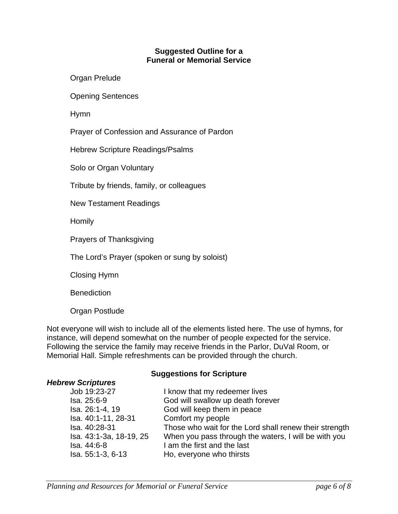#### **Suggested Outline for a Funeral or Memorial Service**

Organ Prelude

Opening Sentences

Hymn

Prayer of Confession and Assurance of Pardon

Hebrew Scripture Readings/Psalms

Solo or Organ Voluntary

Tribute by friends, family, or colleagues

New Testament Readings

**Homily** 

Prayers of Thanksgiving

The Lord's Prayer (spoken or sung by soloist)

Closing Hymn

**Benediction** 

*Hebrew Scriptures* 

Organ Postlude

Not everyone will wish to include all of the elements listed here. The use of hymns, for instance, will depend somewhat on the number of people expected for the service. Following the service the family may receive friends in the Parlor, DuVal Room, or Memorial Hall. Simple refreshments can be provided through the church.

#### **Suggestions for Scripture**

| Job 19:23-27            | I know that my redeemer lives                          |
|-------------------------|--------------------------------------------------------|
| Isa. 25:6-9             | God will swallow up death forever                      |
| Isa. 26:1-4, 19         | God will keep them in peace                            |
| Isa. 40:1-11, 28-31     | Comfort my people                                      |
| Isa. 40:28-31           | Those who wait for the Lord shall renew their strength |
| Isa. 43:1-3a, 18-19, 25 | When you pass through the waters, I will be with you   |
| Isa. 44:6-8             | I am the first and the last                            |
| Isa. 55:1-3, 6-13       | Ho, everyone who thirsts                               |
|                         |                                                        |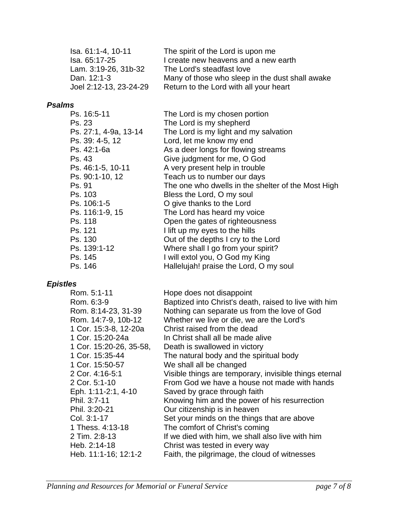| Isa. 61:1-4, 10-11 |                        | The spirit of the Lord is upon me               |
|--------------------|------------------------|-------------------------------------------------|
| Isa. 65:17-25      |                        | I create new heavens and a new earth            |
|                    | Lam. 3:19-26, 31b-32   | The Lord's steadfast love                       |
| Dan. 12:1-3        |                        | Many of those who sleep in the dust shall awake |
|                    | Joel 2:12-13, 23-24-29 | Return to the Lord with all your heart          |

# *Psalms*

| Ps. 16:5-11           | The Lord is my chosen portion                      |
|-----------------------|----------------------------------------------------|
| Ps. 23                | The Lord is my shepherd                            |
| Ps. 27:1, 4-9a, 13-14 | The Lord is my light and my salvation              |
| Ps. 39: 4-5, 12       | Lord, let me know my end                           |
| Ps. 42:1-6a           | As a deer longs for flowing streams                |
| Ps. 43                | Give judgment for me, O God                        |
| Ps. 46:1-5, 10-11     | A very present help in trouble                     |
| Ps. 90:1-10, 12       | Teach us to number our days                        |
| Ps. 91                | The one who dwells in the shelter of the Most High |
| Ps. 103               | Bless the Lord, O my soul                          |
| Ps. 106:1-5           | O give thanks to the Lord                          |
| Ps. 116:1-9, 15       | The Lord has heard my voice                        |
| Ps. 118               | Open the gates of righteousness                    |
| Ps. 121               | I lift up my eyes to the hills                     |
| Ps. 130               | Out of the depths I cry to the Lord                |
| Ps. 139:1-12          | Where shall I go from your spirit?                 |
| Ps. 145               | I will extol you, O God my King                    |
| Ps. 146               | Hallelujah! praise the Lord, O my soul             |

# *Epistles*

| Rom. 5:1-11             | Hope does not disappoint                               |
|-------------------------|--------------------------------------------------------|
| Rom. 6:3-9              | Baptized into Christ's death, raised to live with him  |
| Rom. 8:14-23, 31-39     | Nothing can separate us from the love of God           |
| Rom. 14:7-9, 10b-12     | Whether we live or die, we are the Lord's              |
| 1 Cor. 15:3-8, 12-20a   | Christ raised from the dead                            |
| 1 Cor. 15:20-24a        | In Christ shall all be made alive                      |
| 1 Cor. 15:20-26, 35-58, | Death is swallowed in victory                          |
| 1 Cor. 15:35-44         | The natural body and the spiritual body                |
| 1 Cor. 15:50-57         | We shall all be changed                                |
| 2 Cor. 4:16-5:1         | Visible things are temporary, invisible things eternal |
| 2 Cor. 5:1-10           | From God we have a house not made with hands           |
| Eph. 1:11-2:1, 4-10     | Saved by grace through faith                           |
| Phil. 3:7-11            | Knowing him and the power of his resurrection          |
| Phil. 3:20-21           | Our citizenship is in heaven                           |
| Col. 3:1-17             | Set your minds on the things that are above            |
| 1 Thess. 4:13-18        | The comfort of Christ's coming                         |
| 2 Tim. 2:8-13           | If we died with him, we shall also live with him       |
| Heb. 2:14-18            | Christ was tested in every way                         |
| Heb. 11:1-16; 12:1-2    | Faith, the pilgrimage, the cloud of witnesses          |
|                         |                                                        |